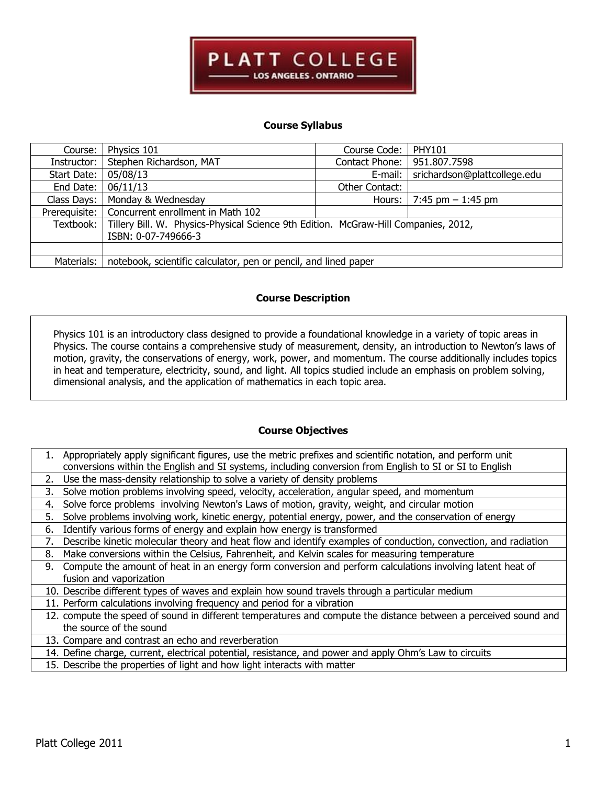

## **Course Syllabus**

| Course:       | Physics 101                                                                         | Course Code:   | <b>PHY101</b>                |  |
|---------------|-------------------------------------------------------------------------------------|----------------|------------------------------|--|
| Instructor:   | Stephen Richardson, MAT                                                             | Contact Phone: | 951.807.7598                 |  |
| Start Date:   | 05/08/13                                                                            | E-mail:        | srichardson@plattcollege.edu |  |
| End Date:     | 06/11/13                                                                            | Other Contact: |                              |  |
| Class Days:   | Monday & Wednesday                                                                  | Hours:         | 7:45 pm $-1:45$ pm           |  |
| Prerequisite: | Concurrent enrollment in Math 102                                                   |                |                              |  |
| Textbook:     | Tillery Bill. W. Physics-Physical Science 9th Edition. McGraw-Hill Companies, 2012, |                |                              |  |
|               | ISBN: 0-07-749666-3                                                                 |                |                              |  |
|               |                                                                                     |                |                              |  |
| Materials:    | notebook, scientific calculator, pen or pencil, and lined paper                     |                |                              |  |

### **Course Description**

Physics 101 is an introductory class designed to provide a foundational knowledge in a variety of topic areas in Physics. The course contains a comprehensive study of measurement, density, an introduction to Newton's laws of motion, gravity, the conservations of energy, work, power, and momentum. The course additionally includes topics in heat and temperature, electricity, sound, and light. All topics studied include an emphasis on problem solving, dimensional analysis, and the application of mathematics in each topic area.

## **Course Objectives**

| Appropriately apply significant figures, use the metric prefixes and scientific notation, and perform unit           |  |  |
|----------------------------------------------------------------------------------------------------------------------|--|--|
| conversions within the English and SI systems, including conversion from English to SI or SI to English              |  |  |
| Use the mass-density relationship to solve a variety of density problems<br>2.                                       |  |  |
| Solve motion problems involving speed, velocity, acceleration, angular speed, and momentum<br>3.                     |  |  |
| Solve force problems involving Newton's Laws of motion, gravity, weight, and circular motion<br>4.                   |  |  |
| Solve problems involving work, kinetic energy, potential energy, power, and the conservation of energy<br>5.         |  |  |
| Identify various forms of energy and explain how energy is transformed<br>6.                                         |  |  |
| Describe kinetic molecular theory and heat flow and identify examples of conduction, convection, and radiation<br>7. |  |  |
| Make conversions within the Celsius, Fahrenheit, and Kelvin scales for measuring temperature<br>8.                   |  |  |
| Compute the amount of heat in an energy form conversion and perform calculations involving latent heat of<br>9.      |  |  |
| fusion and vaporization                                                                                              |  |  |
| 10. Describe different types of waves and explain how sound travels through a particular medium                      |  |  |
| 11. Perform calculations involving frequency and period for a vibration                                              |  |  |
| 12. compute the speed of sound in different temperatures and compute the distance between a perceived sound and      |  |  |
| the source of the sound                                                                                              |  |  |
| 13. Compare and contrast an echo and reverberation                                                                   |  |  |
| 14. Define charge, current, electrical potential, resistance, and power and apply Ohm's Law to circuits              |  |  |

15. Describe the properties of light and how light interacts with matter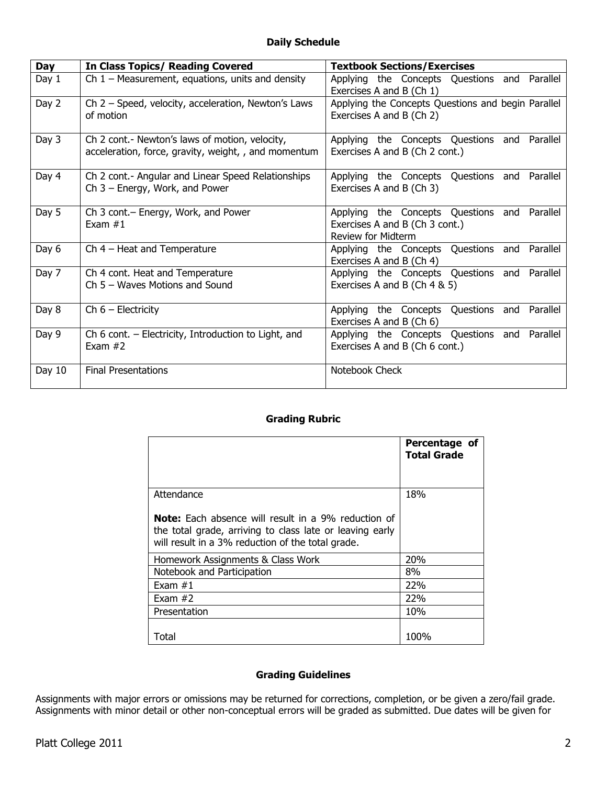| Day      | <b>In Class Topics/ Reading Covered</b>                                                                | <b>Textbook Sections/Exercises</b>                                                                          |  |  |
|----------|--------------------------------------------------------------------------------------------------------|-------------------------------------------------------------------------------------------------------------|--|--|
| Day 1    | Ch $1$ – Measurement, equations, units and density                                                     | Applying the Concepts Questions and Parallel<br>Exercises A and B (Ch 1)                                    |  |  |
| Day 2    | Ch $2$ – Speed, velocity, acceleration, Newton's Laws<br>of motion                                     | Applying the Concepts Questions and begin Parallel<br>Exercises A and B (Ch 2)                              |  |  |
| Day 3    | Ch 2 cont.- Newton's laws of motion, velocity,<br>acceleration, force, gravity, weight, , and momentum | Applying the Concepts Questions and Parallel<br>Exercises A and B (Ch 2 cont.)                              |  |  |
| Day 4    | Ch 2 cont.- Angular and Linear Speed Relationships<br>Ch $3$ – Energy, Work, and Power                 | Applying the Concepts Questions and Parallel<br>Exercises A and B (Ch 3)                                    |  |  |
| Day 5    | Ch 3 cont. - Energy, Work, and Power<br>Exam $#1$                                                      | Applying the Concepts Questions and Parallel<br>Exercises A and B (Ch 3 cont.)<br><b>Review for Midterm</b> |  |  |
| Day 6    | Ch $4$ – Heat and Temperature                                                                          | Applying the Concepts Questions and Parallel<br>Exercises A and B (Ch 4)                                    |  |  |
| Day 7    | Ch 4 cont. Heat and Temperature<br>$Ch 5 - Waves$ Motions and Sound                                    | Applying the Concepts Questions and Parallel<br>Exercises A and B (Ch 4 & 5)                                |  |  |
| Day 8    | Ch $6$ – Electricity                                                                                   | Applying the Concepts Questions and Parallel<br>Exercises A and B (Ch 6)                                    |  |  |
| Day 9    | Ch 6 cont. - Electricity, Introduction to Light, and<br>Exam $#2$                                      | Applying the Concepts Questions and Parallel<br>Exercises A and B (Ch 6 cont.)                              |  |  |
| Day $10$ | <b>Final Presentations</b>                                                                             | Notebook Check                                                                                              |  |  |

## **Grading Rubric**

|                                                                                                                                                                             | Percentage of<br><b>Total Grade</b> |
|-----------------------------------------------------------------------------------------------------------------------------------------------------------------------------|-------------------------------------|
| Attendance                                                                                                                                                                  | 18%                                 |
| <b>Note:</b> Each absence will result in a 9% reduction of<br>the total grade, arriving to class late or leaving early<br>will result in a 3% reduction of the total grade. |                                     |
| Homework Assignments & Class Work                                                                                                                                           | 20%                                 |
| Notebook and Participation                                                                                                                                                  | 8%                                  |
| Exam $#1$                                                                                                                                                                   | 22%                                 |
| Exam $#2$                                                                                                                                                                   | 22%                                 |
| Presentation                                                                                                                                                                | 10%                                 |
| Total                                                                                                                                                                       | 100%                                |

# **Grading Guidelines**

Assignments with major errors or omissions may be returned for corrections, completion, or be given a zero/fail grade. Assignments with minor detail or other non-conceptual errors will be graded as submitted. Due dates will be given for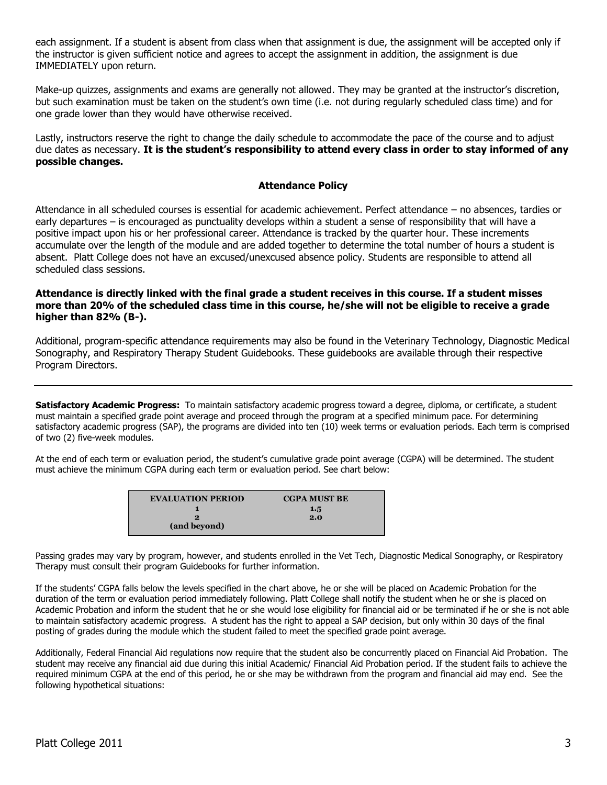each assignment. If a student is absent from class when that assignment is due, the assignment will be accepted only if the instructor is given sufficient notice and agrees to accept the assignment in addition, the assignment is due IMMEDIATELY upon return.

Make-up quizzes, assignments and exams are generally not allowed. They may be granted at the instructor's discretion, but such examination must be taken on the student's own time (i.e. not during regularly scheduled class time) and for one grade lower than they would have otherwise received.

Lastly, instructors reserve the right to change the daily schedule to accommodate the pace of the course and to adjust due dates as necessary. **It is the student's responsibility to attend every class in order to stay informed of any possible changes.** 

## **Attendance Policy**

Attendance in all scheduled courses is essential for academic achievement. Perfect attendance – no absences, tardies or early departures – is encouraged as punctuality develops within a student a sense of responsibility that will have a positive impact upon his or her professional career. Attendance is tracked by the quarter hour. These increments accumulate over the length of the module and are added together to determine the total number of hours a student is absent. Platt College does not have an excused/unexcused absence policy. Students are responsible to attend all scheduled class sessions.

## **Attendance is directly linked with the final grade a student receives in this course. If a student misses more than 20% of the scheduled class time in this course, he/she will not be eligible to receive a grade higher than 82% (B-).**

Additional, program-specific attendance requirements may also be found in the Veterinary Technology, Diagnostic Medical Sonography, and Respiratory Therapy Student Guidebooks. These guidebooks are available through their respective Program Directors.

**Satisfactory Academic Progress:** To maintain satisfactory academic progress toward a degree, diploma, or certificate, a student must maintain a specified grade point average and proceed through the program at a specified minimum pace. For determining satisfactory academic progress (SAP), the programs are divided into ten (10) week terms or evaluation periods. Each term is comprised of two (2) five-week modules.

At the end of each term or evaluation period, the student's cumulative grade point average (CGPA) will be determined. The student must achieve the minimum CGPA during each term or evaluation period. See chart below:

| <b>EVALUATION PERIOD</b> | <b>CGPA MUST BE</b> |
|--------------------------|---------------------|
|                          | 1.5                 |
| ∍.                       | 2.0                 |
| (and beyond)             |                     |

Passing grades may vary by program, however, and students enrolled in the Vet Tech, Diagnostic Medical Sonography, or Respiratory Therapy must consult their program Guidebooks for further information.

If the students' CGPA falls below the levels specified in the chart above, he or she will be placed on Academic Probation for the duration of the term or evaluation period immediately following. Platt College shall notify the student when he or she is placed on Academic Probation and inform the student that he or she would lose eligibility for financial aid or be terminated if he or she is not able to maintain satisfactory academic progress. A student has the right to appeal a SAP decision, but only within 30 days of the final posting of grades during the module which the student failed to meet the specified grade point average.

Additionally, Federal Financial Aid regulations now require that the student also be concurrently placed on Financial Aid Probation. The student may receive any financial aid due during this initial Academic/ Financial Aid Probation period. If the student fails to achieve the required minimum CGPA at the end of this period, he or she may be withdrawn from the program and financial aid may end. See the following hypothetical situations: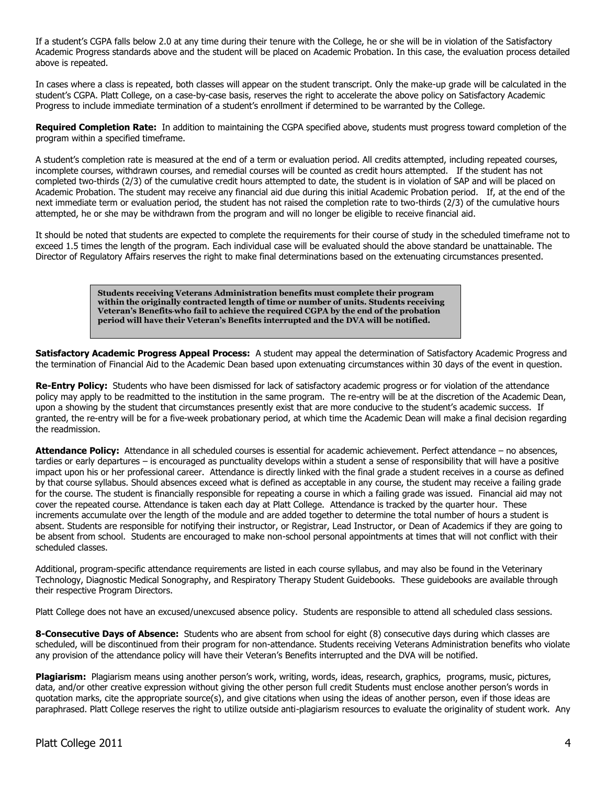If a student's CGPA falls below 2.0 at any time during their tenure with the College, he or she will be in violation of the Satisfactory Academic Progress standards above and the student will be placed on Academic Probation. In this case, the evaluation process detailed above is repeated.

In cases where a class is repeated, both classes will appear on the student transcript. Only the make-up grade will be calculated in the student's CGPA. Platt College, on a case-by-case basis, reserves the right to accelerate the above policy on Satisfactory Academic Progress to include immediate termination of a student's enrollment if determined to be warranted by the College.

**Required Completion Rate:** In addition to maintaining the CGPA specified above, students must progress toward completion of the program within a specified timeframe.

A student's completion rate is measured at the end of a term or evaluation period. All credits attempted, including repeated courses, incomplete courses, withdrawn courses, and remedial courses will be counted as credit hours attempted. If the student has not completed two-thirds (2/3) of the cumulative credit hours attempted to date, the student is in violation of SAP and will be placed on Academic Probation. The student may receive any financial aid due during this initial Academic Probation period. If, at the end of the next immediate term or evaluation period, the student has not raised the completion rate to two-thirds (2/3) of the cumulative hours attempted, he or she may be withdrawn from the program and will no longer be eligible to receive financial aid.

It should be noted that students are expected to complete the requirements for their course of study in the scheduled timeframe not to exceed 1.5 times the length of the program. Each individual case will be evaluated should the above standard be unattainable. The Director of Regulatory Affairs reserves the right to make final determinations based on the extenuating circumstances presented.

> **Students receiving Veterans Administration benefits must complete their program within the originally contracted length of time or number of units. Students receiving Veteran's Benefits who fail to achieve the required CGPA by the end of the probation period will have their Veteran's Benefits interrupted and the DVA will be notified.**

**Satisfactory Academic Progress Appeal Process:** A student may appeal the determination of Satisfactory Academic Progress and the termination of Financial Aid to the Academic Dean based upon extenuating circumstances within 30 days of the event in question.

**Re-Entry Policy:** Students who have been dismissed for lack of satisfactory academic progress or for violation of the attendance policy may apply to be readmitted to the institution in the same program. The re-entry will be at the discretion of the Academic Dean, upon a showing by the student that circumstances presently exist that are more conducive to the student's academic success. If granted, the re-entry will be for a five-week probationary period, at which time the Academic Dean will make a final decision regarding the readmission.

**Attendance Policy:** Attendance in all scheduled courses is essential for academic achievement. Perfect attendance – no absences, tardies or early departures – is encouraged as punctuality develops within a student a sense of responsibility that will have a positive impact upon his or her professional career. Attendance is directly linked with the final grade a student receives in a course as defined by that course syllabus. Should absences exceed what is defined as acceptable in any course, the student may receive a failing grade for the course. The student is financially responsible for repeating a course in which a failing grade was issued. Financial aid may not cover the repeated course. Attendance is taken each day at Platt College. Attendance is tracked by the quarter hour. These increments accumulate over the length of the module and are added together to determine the total number of hours a student is absent. Students are responsible for notifying their instructor, or Registrar, Lead Instructor, or Dean of Academics if they are going to be absent from school. Students are encouraged to make non-school personal appointments at times that will not conflict with their scheduled classes.

Additional, program-specific attendance requirements are listed in each course syllabus, and may also be found in the Veterinary Technology, Diagnostic Medical Sonography, and Respiratory Therapy Student Guidebooks. These guidebooks are available through their respective Program Directors.

Platt College does not have an excused/unexcused absence policy. Students are responsible to attend all scheduled class sessions.

**8-Consecutive Days of Absence:** Students who are absent from school for eight (8) consecutive days during which classes are scheduled, will be discontinued from their program for non-attendance. Students receiving Veterans Administration benefits who violate any provision of the attendance policy will have their Veteran's Benefits interrupted and the DVA will be notified.

**Plagiarism:** Plagiarism means using another person's work, writing, words, ideas, research, graphics, programs, music, pictures, data, and/or other creative expression without giving the other person full credit Students must enclose another person's words in quotation marks, cite the appropriate source(s), and give citations when using the ideas of another person, even if those ideas are paraphrased. Platt College reserves the right to utilize outside anti-plagiarism resources to evaluate the originality of student work. Any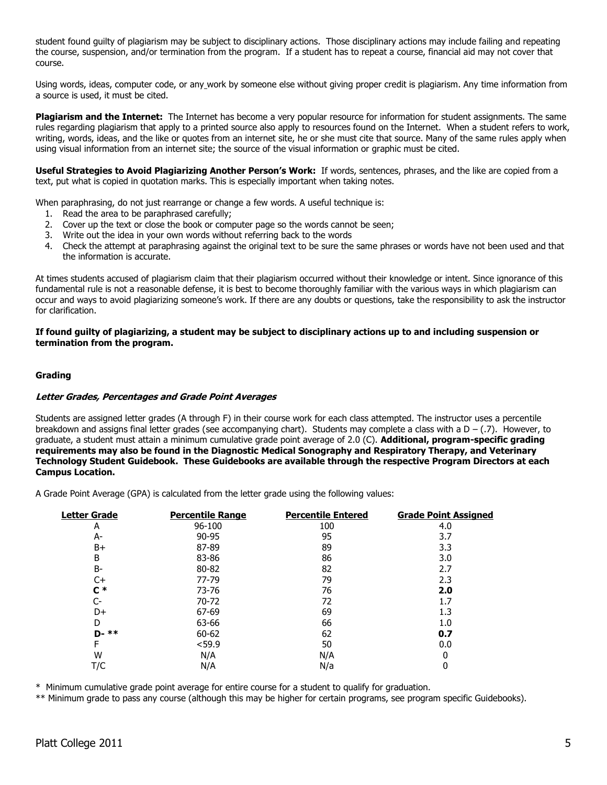student found guilty of plagiarism may be subject to disciplinary actions. Those disciplinary actions may include failing and repeating the course, suspension, and/or termination from the program. If a student has to repeat a course, financial aid may not cover that course.

Using words, ideas, computer code, or any work by someone else without giving proper credit is plagiarism. Any time information from a source is used, it must be cited.

**Plagiarism and the Internet:** The Internet has become a very popular resource for information for student assignments. The same rules regarding plagiarism that apply to a printed source also apply to resources found on the Internet. When a student refers to work, writing, words, ideas, and the like or quotes from an internet site, he or she must cite that source. Many of the same rules apply when using visual information from an internet site; the source of the visual information or graphic must be cited.

**Useful Strategies to Avoid Plagiarizing Another Person's Work:** If words, sentences, phrases, and the like are copied from a text, put what is copied in quotation marks. This is especially important when taking notes.

When paraphrasing, do not just rearrange or change a few words. A useful technique is:

- 1. Read the area to be paraphrased carefully;
- 2. Cover up the text or close the book or computer page so the words cannot be seen;
- 3. Write out the idea in your own words without referring back to the words
- 4. Check the attempt at paraphrasing against the original text to be sure the same phrases or words have not been used and that the information is accurate.

At times students accused of plagiarism claim that their plagiarism occurred without their knowledge or intent. Since ignorance of this fundamental rule is not a reasonable defense, it is best to become thoroughly familiar with the various ways in which plagiarism can occur and ways to avoid plagiarizing someone's work. If there are any doubts or questions, take the responsibility to ask the instructor for clarification.

**If found guilty of plagiarizing, a student may be subject to disciplinary actions up to and including suspension or termination from the program.** 

#### **Grading**

#### **Letter Grades, Percentages and Grade Point Averages**

Students are assigned letter grades (A through F) in their course work for each class attempted. The instructor uses a percentile breakdown and assigns final letter grades (see accompanying chart). Students may complete a class with a  $D - (0.7)$ . However, to graduate, a student must attain a minimum cumulative grade point average of 2.0 (C). **Additional, program-specific grading requirements may also be found in the Diagnostic Medical Sonography and Respiratory Therapy, and Veterinary Technology Student Guidebook. These Guidebooks are available through the respective Program Directors at each Campus Location.**

A Grade Point Average (GPA) is calculated from the letter grade using the following values:

| <b>Letter Grade</b> | <b>Percentile Range</b> | <b>Percentile Entered</b> | <b>Grade Point Assigned</b> |
|---------------------|-------------------------|---------------------------|-----------------------------|
| A                   | 96-100                  | 100                       | 4.0                         |
| A-                  | $90 - 95$               | 95                        | 3.7                         |
| B+                  | 87-89                   | 89                        | 3.3                         |
| B                   | 83-86                   | 86                        | 3.0                         |
| $B -$               | 80-82                   | 82                        | 2.7                         |
| C+                  | 77-79                   | 79                        | 2.3                         |
| $c *$               | 73-76                   | 76                        | 2.0                         |
| C-                  | 70-72                   | 72                        | 1.7                         |
| D+                  | 67-69                   | 69                        | 1.3                         |
| D                   | 63-66                   | 66                        | 1.0                         |
| $D - **$            | $60 - 62$               | 62                        | 0.7                         |
| F                   | < 59.9                  | 50                        | 0.0                         |
| W                   | N/A                     | N/A                       | 0                           |
| T/C                 | N/A                     | N/a                       | 0                           |

\* Minimum cumulative grade point average for entire course for a student to qualify for graduation.

\*\* Minimum grade to pass any course (although this may be higher for certain programs, see program specific Guidebooks).